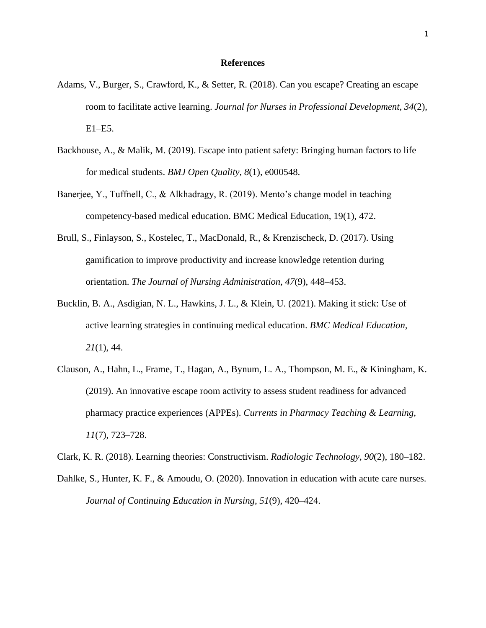## **References**

- Adams, V., Burger, S., Crawford, K., & Setter, R. (2018). Can you escape? Creating an escape room to facilitate active learning. *Journal for Nurses in Professional Development, 34*(2), E1–E5.
- Backhouse, A., & Malik, M. (2019). Escape into patient safety: Bringing human factors to life for medical students. *BMJ Open Quality, 8*(1), e000548.
- Banerjee, Y., Tuffnell, C., & Alkhadragy, R. (2019). Mento's change model in teaching competency-based medical education. BMC Medical Education, 19(1), 472.
- Brull, S., Finlayson, S., Kostelec, T., MacDonald, R., & Krenzischeck, D. (2017). Using gamification to improve productivity and increase knowledge retention during orientation. *The Journal of Nursing Administration, 47*(9), 448–453.
- Bucklin, B. A., Asdigian, N. L., Hawkins, J. L., & Klein, U. (2021). Making it stick: Use of active learning strategies in continuing medical education. *BMC Medical Education, 21*(1), 44.
- Clauson, A., Hahn, L., Frame, T., Hagan, A., Bynum, L. A., Thompson, M. E., & Kiningham, K. (2019). An innovative escape room activity to assess student readiness for advanced pharmacy practice experiences (APPEs). *Currents in Pharmacy Teaching & Learning, 11*(7), 723–728.

Clark, K. R. (2018). Learning theories: Constructivism. *Radiologic Technology, 90*(2), 180–182.

Dahlke, S., Hunter, K. F., & Amoudu, O. (2020). Innovation in education with acute care nurses. *Journal of Continuing Education in Nursing, 51*(9), 420–424.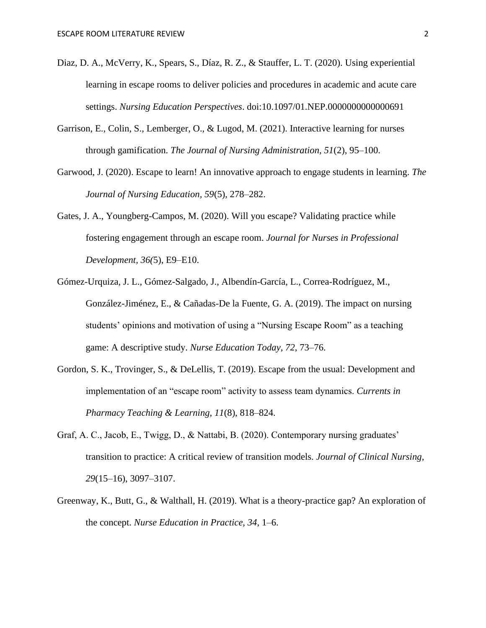- Diaz, D. A., McVerry, K., Spears, S., Díaz, R. Z., & Stauffer, L. T. (2020). Using experiential learning in escape rooms to deliver policies and procedures in academic and acute care settings. *Nursing Education Perspectives*. doi:10.1097/01.NEP.0000000000000691
- Garrison, E., Colin, S., Lemberger, O., & Lugod, M. (2021). Interactive learning for nurses through gamification. *The Journal of Nursing Administration, 51*(2), 95–100.
- Garwood, J. (2020). Escape to learn! An innovative approach to engage students in learning. *The Journal of Nursing Education, 59*(5), 278–282.
- Gates, J. A., Youngberg-Campos, M. (2020). Will you escape? Validating practice while fostering engagement through an escape room. *Journal for Nurses in Professional Development, 36(*5), E9–E10.
- Gómez-Urquiza, J. L., Gómez-Salgado, J., Albendín-García, L., Correa-Rodríguez, M., González-Jiménez, E., & Cañadas-De la Fuente, G. A. (2019). The impact on nursing students' opinions and motivation of using a "Nursing Escape Room" as a teaching game: A descriptive study. *Nurse Education Today, 72*, 73–76.
- Gordon, S. K., Trovinger, S., & DeLellis, T. (2019). Escape from the usual: Development and implementation of an "escape room" activity to assess team dynamics. *Currents in Pharmacy Teaching & Learning, 11*(8), 818–824.
- Graf, A. C., Jacob, E., Twigg, D., & Nattabi, B. (2020). Contemporary nursing graduates' transition to practice: A critical review of transition models. *Journal of Clinical Nursing, 29*(15–16), 3097–3107.
- Greenway, K., Butt, G., & Walthall, H. (2019). What is a theory-practice gap? An exploration of the concept. *Nurse Education in Practice, 34*, 1–6.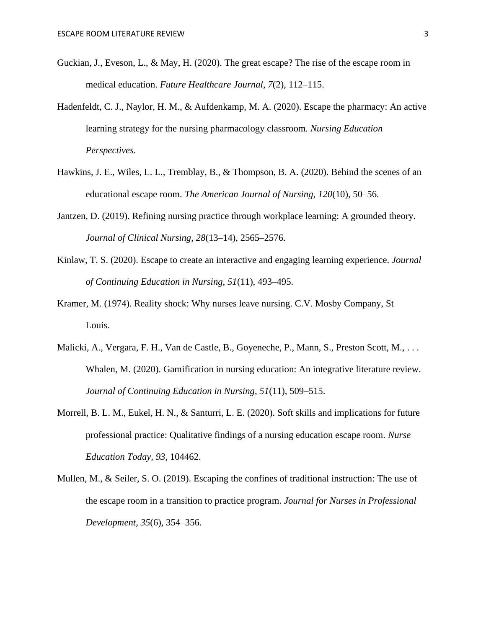- Guckian, J., Eveson, L., & May, H. (2020). The great escape? The rise of the escape room in medical education. *Future Healthcare Journal, 7*(2), 112–115.
- Hadenfeldt, C. J., Naylor, H. M., & Aufdenkamp, M. A. (2020). Escape the pharmacy: An active learning strategy for the nursing pharmacology classroom*. Nursing Education Perspectives.*
- Hawkins, J. E., Wiles, L. L., Tremblay, B., & Thompson, B. A. (2020). Behind the scenes of an educational escape room. *The American Journal of Nursing, 120*(10), 50–56.
- Jantzen, D. (2019). Refining nursing practice through workplace learning: A grounded theory. *Journal of Clinical Nursing, 28*(13–14), 2565–2576.
- Kinlaw, T. S. (2020). Escape to create an interactive and engaging learning experience. *Journal of Continuing Education in Nursing, 51*(11), 493–495.
- Kramer, M. (1974). Reality shock: Why nurses leave nursing. C.V. Mosby Company, St Louis.
- Malicki, A., Vergara, F. H., Van de Castle, B., Goyeneche, P., Mann, S., Preston Scott, M., . . . Whalen, M. (2020). Gamification in nursing education: An integrative literature review. *Journal of Continuing Education in Nursing, 51*(11), 509–515.
- Morrell, B. L. M., Eukel, H. N., & Santurri, L. E. (2020). Soft skills and implications for future professional practice: Qualitative findings of a nursing education escape room. *Nurse Education Today, 93,* 104462.
- Mullen, M., & Seiler, S. O. (2019). Escaping the confines of traditional instruction: The use of the escape room in a transition to practice program. *Journal for Nurses in Professional Development, 35*(6), 354–356.